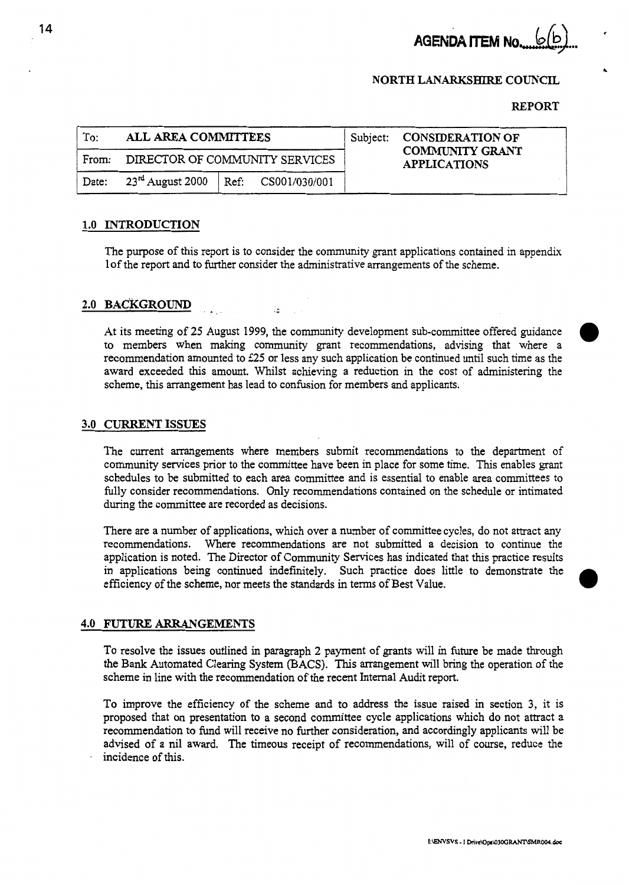**AGENDA ITEM No** 

### **NORTH LANARKSHIRE COUNCIL**

### **REPORT**

**4** 

| To:   | ALL AREA COMMITTEES                      |  | Subject: CONSIDERATION OF                     |
|-------|------------------------------------------|--|-----------------------------------------------|
| From: | DIRECTOR OF COMMUNITY SERVICES           |  | <b>COMMUNITY GRANT</b><br><b>APPLICATIONS</b> |
| Date: | $23^{rd}$ August 2000 Ref: CS001/030/001 |  |                                               |

### **1.0 INTRODUCTION**

The purpose of this report is to consider the community grant applications contained in appendix lof the report and to further consider the administrative arrangements of the scheme.

#### **2.0 BAC'KGROUND**

At its meeting of 25 August 1999, the community development sub-committee offered guidance to members when making community grant recommendations, advising that where a recommendation amounted to **€25** or less any such application be continued until such time as the award exceeded this amount. Whilst achieving a reduction in the cost of administering the scheme, this arrangement has lead to confusion for members and applicants.

j.

### **3.0 CURRENTISSUES**

The current arrangements where members submit recommendations to the department of community services prior to the committee have been in place for some time. This enables grant schedules to be submitted to each area committee and is essential to enable area committees to fully consider recommendations. Only recommendations contained on the schedule or intimated during the committee are recorded as decisions.

There are a number of applications, which over a number of committee cycles, do not attract any recommendations. Where recommendations are not submitted a decision to continue the application is noted. The Director of Community Services has indicated that this practice results dependence is noted. The Director of Community Services has indicated that this practice results<br>in applications being continued indefinitely. Such practice does little to demonstrate the<br>efficiency of the scheme, nor meet

### **4.0 FUTURE ARRANGEMENTS**

To resolve the issues outlined in paragraph **2** payment of grants will in future be made through the Bank Automated Clearing System (BACS). **This** arrangement will bring the operation of the scheme in line with the recommendation of the recent Internal Audit report.

To improve the efficiency of the scheme and to address the issue raised in section 3, it is proposed that on presentation to a second committee cycle applications which do not attract a recommendation to fund will receive no further consideration, and accordingly applicants will be advised of a nil award. The timeous receipt of recommendations, will of course, reduce the incidence of this.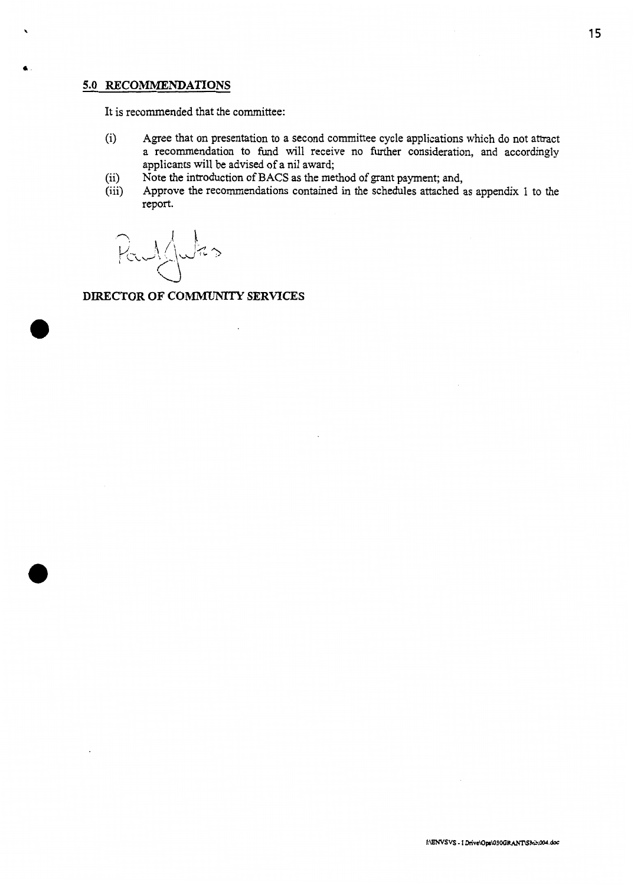### **5.0 RECOMMENDATIONS**

It is recommended that the committee:

- (i) Agree that on presentation to a second committee cycle applications which do not attract a recommendation to fund will receive no further consideration, and accordingly applicants will be advised of a nil award;
- Note the introduction of BACS as the method of grant payment; and, (ii)
- Approve the recommendations contained in the schedules attached as appendix 1 to the report. (iii)

Paulfutis

DIRECTOR OF COMMUNITY SERVICES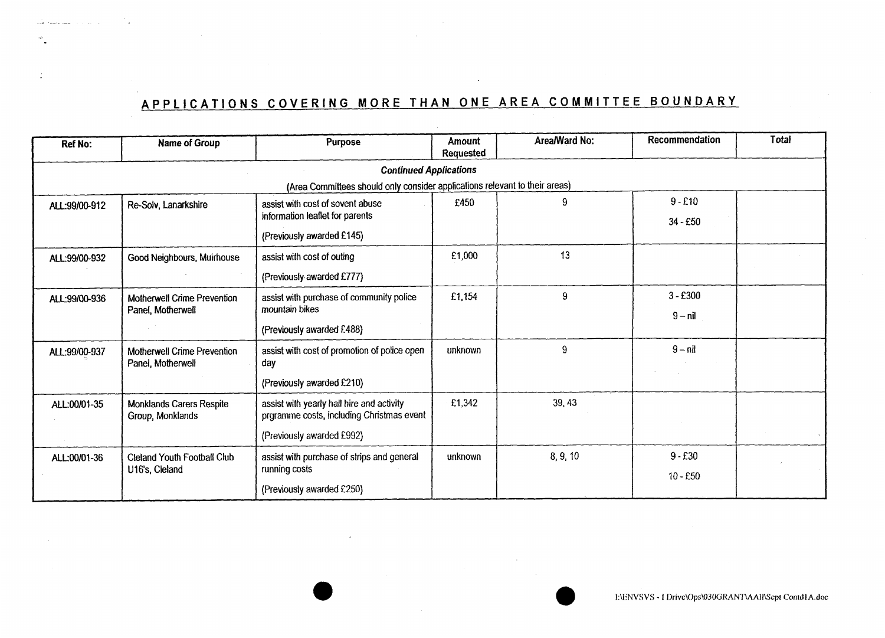## **APPLICATIONS COVERING MORE THAN ONE AREA COMMITTEE BOUNDARY**

 $\mathcal{L}$ 

| <b>Ref No:</b> | Name of Group                                       | Purpose                                                                                | Amount<br><b>Requested</b> | Area/Ward No: | Recommendation | <b>Total</b> |
|----------------|-----------------------------------------------------|----------------------------------------------------------------------------------------|----------------------------|---------------|----------------|--------------|
|                |                                                     | <b>Continued Applications</b>                                                          |                            |               |                |              |
|                |                                                     | (Area Committees should only consider applications relevant to their areas)            |                            |               |                |              |
| ALL:99/00-912  | Re-Solv, Lanarkshire                                | assist with cost of sovent abuse<br>information leaflet for parents                    | £450                       | 9             | $9 - £10$      |              |
|                |                                                     | (Previously awarded £145)                                                              |                            |               | 34 - £50       |              |
| ALL:99/00-932  | Good Neighbours, Muirhouse                          | assist with cost of outing                                                             | £1,000                     | 13            |                |              |
|                |                                                     | (Previously awarded £777)                                                              |                            |               |                |              |
| ALL:99/00-936  | <b>Motherwell Crime Prevention</b>                  | assist with purchase of community police                                               | £1,154                     | 9             | $3 - £300$     |              |
|                | Panel, Motherwell                                   | mountain bikes                                                                         |                            |               | $9 - nil$      |              |
|                |                                                     | (Previously awarded £488)                                                              |                            |               |                |              |
| ALL:99/00-937  | Motherwell Crime Prevention<br>Panel, Motherwell    | assist with cost of promotion of police open<br>day                                    | unknown                    | 9             | $9 - nil$      |              |
|                |                                                     | (Previously awarded £210)                                                              |                            |               |                |              |
| ALL:00/01-35   | <b>Monklands Carers Respite</b><br>Group, Monklands | assist with yearly hall hire and activity<br>prgramme costs, including Christmas event | £1,342                     | 39,43         |                |              |
|                |                                                     | (Previously awarded £992)                                                              |                            |               |                |              |
| ALL:00/01-36   | Cleland Youth Football Club                         | assist with purchase of strips and general                                             | unknown                    | 8, 9, 10      | $9 - £30$      |              |
|                | U16's, Cleland                                      | running costs                                                                          |                            |               | $10 - £50$     |              |
|                |                                                     | (Previously awarded £250)                                                              |                            |               |                |              |

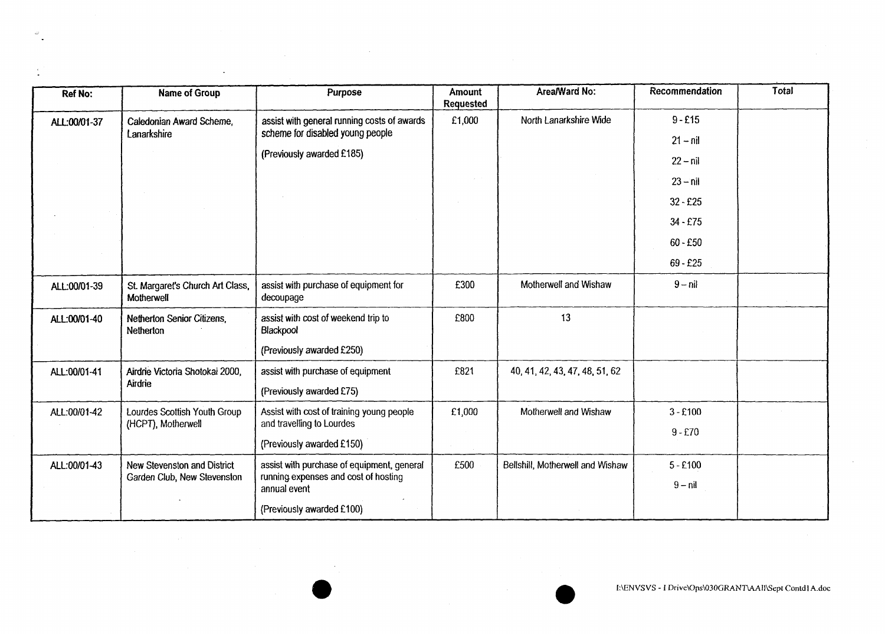| <b>Ref No:</b> | <b>Name of Group</b>                           | Purpose                                                                         | Amount<br>Requested | Area/Ward No:                    | Recommendation | Total |
|----------------|------------------------------------------------|---------------------------------------------------------------------------------|---------------------|----------------------------------|----------------|-------|
| ALL:00/01-37   | Caledonian Award Scheme,<br>Lanarkshire        | assist with general running costs of awards<br>scheme for disabled young people | £1,000              | North Lanarkshire Wide           | $9 - £15$      |       |
|                |                                                | (Previously awarded £185)                                                       |                     |                                  | $21 - nil$     |       |
|                |                                                |                                                                                 |                     |                                  | $22 - nil$     |       |
|                |                                                |                                                                                 |                     |                                  | $23 - nil$     |       |
|                |                                                |                                                                                 |                     |                                  | $32 - £25$     |       |
|                |                                                |                                                                                 |                     |                                  | $34 - £75$     |       |
|                |                                                |                                                                                 |                     |                                  | $60 - £50$     |       |
|                |                                                |                                                                                 |                     |                                  | $69 - £25$     |       |
| ALL:00/01-39   | St. Margaret's Church Art Class,<br>Motherwell | assist with purchase of equipment for<br>decoupage                              | £300                | Motherwell and Wishaw            | $9 - nil$      |       |
| ALL:00/01-40   | Netherton Senior Citizens,<br>Netherton        | assist with cost of weekend trip to<br>Blackpool                                | £800                | 13                               |                |       |
|                |                                                | (Previously awarded £250)                                                       |                     |                                  |                |       |
| ALL:00/01-41   | Airdrie Victoria Shotokai 2000,                | assist with purchase of equipment                                               | £821                | 40, 41, 42, 43, 47, 48, 51, 62   |                |       |
|                | Airdrie                                        | (Previously awarded £75)                                                        |                     |                                  |                |       |
| ALL:00/01-42   | Lourdes Scottish Youth Group                   | Assist with cost of training young people                                       | £1,000              | Motherwell and Wishaw            | $3 - £100$     |       |
|                | (HCPT), Motherwell                             | and travelling to Lourdes                                                       |                     |                                  | $9 - £70$      |       |
|                |                                                | (Previously awarded £150)                                                       |                     |                                  |                |       |
| ALL:00/01-43   | New Stevenston and District                    | assist with purchase of equipment, general                                      | £500                | Bellshill, Motherwell and Wishaw | $5 - £100$     |       |
|                | Garden Club, New Stevenston                    | running expenses and cost of hosting<br>annual event                            |                     |                                  | $9 - nil$      |       |
|                |                                                | (Previously awarded £100)                                                       |                     |                                  |                |       |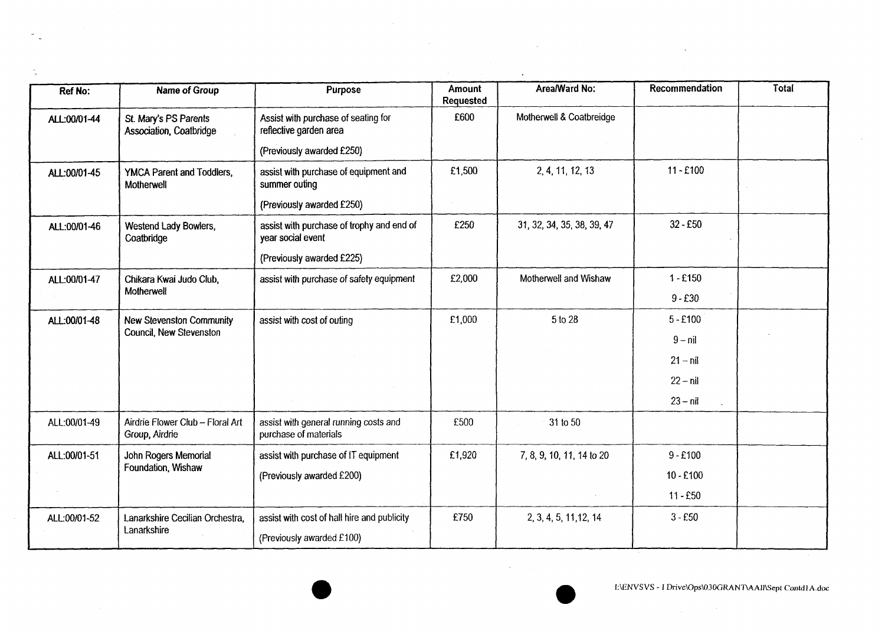| <b>Ref No:</b> | <b>Name of Group</b>                               | Purpose                                                        | Amount<br>Requested | Area/Ward No:              | Recommendation | Total |
|----------------|----------------------------------------------------|----------------------------------------------------------------|---------------------|----------------------------|----------------|-------|
| ALL:00/01-44   | St. Mary's PS Parents<br>Association, Coatbridge   | Assist with purchase of seating for<br>reflective garden area  | £600                | Motherwell & Coatbreidge   |                |       |
|                |                                                    | (Previously awarded £250)                                      |                     |                            |                |       |
| ALL:00/01-45   | YMCA Parent and Toddlers,<br>Motherwell            | assist with purchase of equipment and<br>summer outing         | £1,500              | 2, 4, 11, 12, 13           | $11 - £100$    |       |
|                |                                                    | (Previously awarded £250)                                      |                     |                            |                |       |
| ALL:00/01-46   | Westend Lady Bowlers,<br>Coatbridge                | assist with purchase of trophy and end of<br>year social event | £250                | 31, 32, 34, 35, 38, 39, 47 | $32 - £50$     |       |
|                |                                                    | (Previously awarded £225)                                      |                     |                            |                |       |
| ALL:00/01-47   | Chikara Kwai Judo Club,                            | assist with purchase of safety equipment                       | £2,000              | Motherwell and Wishaw      | $1 - £150$     |       |
|                | Motherwell                                         |                                                                |                     |                            | $9 - £30$      |       |
| ALL:00/01-48   | <b>New Stevenston Community</b>                    | assist with cost of outing                                     | £1,000              | 5 to 28                    | $5 - £100$     |       |
|                | Council, New Stevenston                            |                                                                |                     |                            | $9 - nil$      |       |
|                |                                                    |                                                                |                     |                            | $21 - nil$     |       |
|                |                                                    |                                                                |                     |                            | $22 - nil$     |       |
|                |                                                    |                                                                |                     |                            | $23 - nil$     |       |
| ALL:00/01-49   | Airdrie Flower Club - Floral Art<br>Group, Airdrie | assist with general running costs and<br>purchase of materials | £500                | 31 to 50                   |                |       |
| ALL:00/01-51   | John Rogers Memorial                               | assist with purchase of IT equipment                           | £1,920              | 7, 8, 9, 10, 11, 14 to 20  | $9 - £100$     |       |
|                | Foundation, Wishaw                                 | (Previously awarded £200)                                      |                     |                            | $10 - £100$    |       |
|                |                                                    |                                                                |                     |                            | $11 - £50$     |       |
| ALL:00/01-52   | Lanarkshire Cecilian Orchestra,                    | assist with cost of hall hire and publicity                    | £750                | 2, 3, 4, 5, 11, 12, 14     | $3 - £50$      |       |
|                | Lanarkshire                                        | (Previously awarded £100)                                      |                     |                            |                |       |

 $\sim 10^{-1}$ 

 $\sim$ 

 $\mathcal{L}^{\mathcal{L}}(\mathcal{L}^{\mathcal{L}})$  . The contribution of  $\mathcal{L}^{\mathcal{L}}$ 

 $\sim$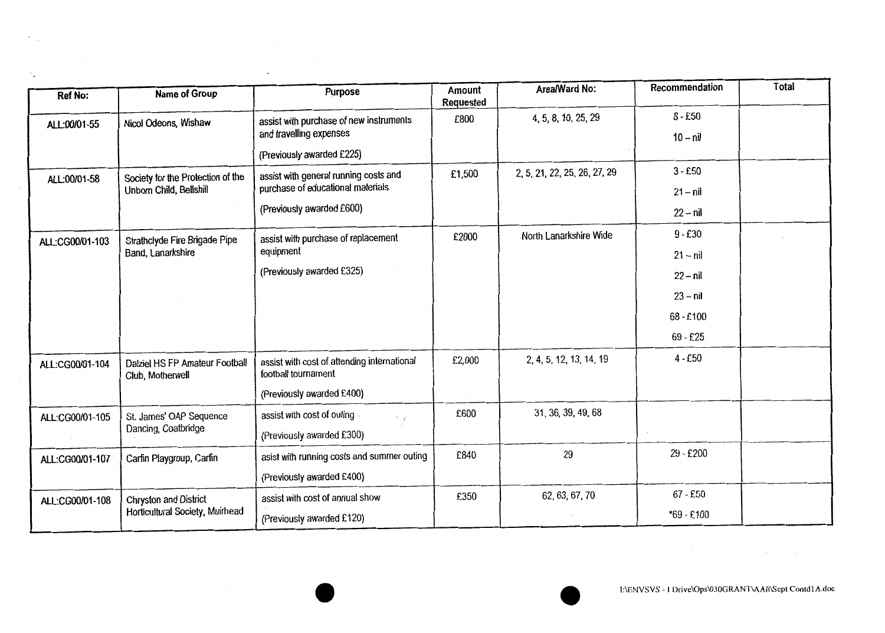| <b>Ref No:</b>  | Name of Group                                      | <b>Purpose</b>                                                             | Amount<br>Requested | Area/Ward No:                | Recommendation    | Total |
|-----------------|----------------------------------------------------|----------------------------------------------------------------------------|---------------------|------------------------------|-------------------|-------|
| ALL:00/01-55    | Nicol Odeons, Wishaw                               | assist with purchase of new instruments                                    | £800                | 4, 5, 8, 10, 25, 29          | $8 - £50$         |       |
|                 |                                                    | and travelling expenses                                                    |                     |                              | $10 - \text{nil}$ |       |
|                 |                                                    | (Previously awarded £225)                                                  |                     |                              |                   |       |
| ALL:00/01-58    | Society for the Protection of the                  | assist with general running costs and<br>purchase of educational materials | £1,500              | 2, 5, 21, 22, 25, 26, 27, 29 | $3 - £50$         |       |
|                 | Unborn Child, Bellshill                            |                                                                            |                     |                              | $21 - nil$        |       |
|                 |                                                    | (Previously awarded £600)                                                  |                     |                              | $22 - nil$        |       |
| ALL:CG00/01-103 | Strathclyde Fire Brigade Pipe                      | assist with purchase of replacement                                        | £2000               | North Lanarkshire Wide       | $9 - £30$         |       |
|                 | Band, Lanarkshire                                  | equipment                                                                  |                     |                              | $21 - nil$        |       |
|                 |                                                    | (Previously awarded £325)                                                  |                     |                              | $22 - nil$        |       |
|                 |                                                    |                                                                            |                     |                              | $23 - nil$        |       |
|                 |                                                    |                                                                            |                     |                              | 68-£100           |       |
|                 |                                                    |                                                                            |                     |                              | $69 - £25$        |       |
| ALL:CG00/01-104 | Dalziel HS FP Amateur Football<br>Club, Motherwell | assist with cost of attending international<br>football tournament         | £2,000              | 2, 4, 5, 12, 13, 14, 19      | $4 - £50$         |       |
|                 |                                                    | (Previously awarded £400)                                                  |                     |                              |                   |       |
| ALL:CG00/01-105 | St. James' OAP Sequence                            | assist with cost of outing<br>$\mathcal{V}_{\mathcal{C},\mathcal{C}}$      | £600                | 31, 36, 39, 49, 68           |                   |       |
|                 | Dancing, Coatbridge                                | (Previously awarded £300)                                                  |                     |                              |                   |       |
| ALL:CG00/01-107 | Carfin Playgroup, Carfin                           | asist with running costs and summer outing                                 | £840                | 29                           | 29 - £200         |       |
|                 |                                                    | (Previously awarded £400)                                                  |                     |                              |                   |       |
| ALL:CG00/01-108 | Chryston and District                              | assist with cost of annual show                                            | £350                | 62, 63, 67, 70               | $67 - £50$        |       |
|                 | Horticultural Society, Muirhead                    | (Previously awarded £120)                                                  |                     |                              | $*69 - £100$      |       |

 $\ddot{\phantom{a}}$ 

 $\lambda$  $\mathcal{L}$ 

 $\mathcal{L}_{\mathbf{a}}$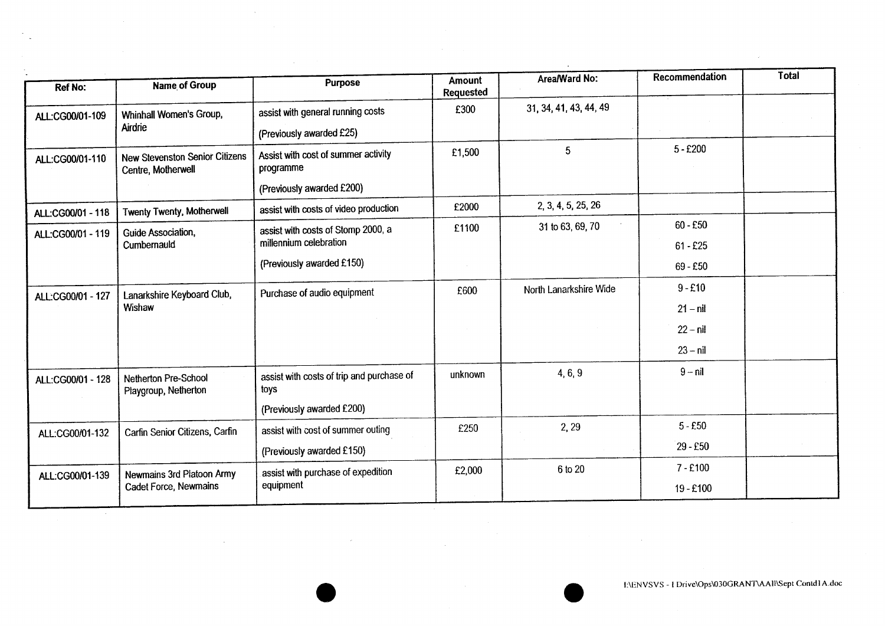| <b>Ref No:</b>    | <b>Name of Group</b>                                        | <b>Purpose</b>                                                                | Amount<br>Requested | Area/Ward No:          | Recommendation | Total |
|-------------------|-------------------------------------------------------------|-------------------------------------------------------------------------------|---------------------|------------------------|----------------|-------|
| ALL:CG00/01-109   | Whinhall Women's Group,<br>Airdrie                          | assist with general running costs<br>(Previously awarded £25)                 | £300                | 31, 34, 41, 43, 44, 49 |                |       |
| ALL:CG00/01-110   | <b>New Stevenston Senior Citizens</b><br>Centre, Motherwell | Assist with cost of summer activity<br>programme<br>(Previously awarded £200) | £1,500              | 5                      | $5 - £200$     |       |
|                   |                                                             | assist with costs of video production                                         | £2000               | 2, 3, 4, 5, 25, 26     |                |       |
| ALL:CG00/01 - 118 | <b>Twenty Twenty, Motherwell</b>                            |                                                                               | £1100               | 31 to 63, 69, 70       | $60 - £50$     |       |
| ALL:CG00/01 - 119 | Guide Association,<br>Cumbernauld                           | assist with costs of Stomp 2000, a<br>millennium celebration                  |                     |                        | $61 - £25$     |       |
|                   |                                                             | (Previously awarded £150)                                                     |                     |                        | $69 - £50$     |       |
| ALL:CG00/01 - 127 | Lanarkshire Keyboard Club,                                  | Purchase of audio equipment                                                   | £600                | North Lanarkshire Wide | $9 - £10$      |       |
|                   | Wishaw                                                      |                                                                               |                     |                        | $21 - nil$     |       |
|                   |                                                             |                                                                               |                     |                        | $22 - nil$     |       |
|                   |                                                             |                                                                               |                     |                        | $23 - nil$     |       |
| ALL:CG00/01 - 128 | Netherton Pre-School<br>Playgroup, Netherton                | assist with costs of trip and purchase of<br>toys                             | unknown             | 4, 6, 9                | $9 - nil$      |       |
|                   |                                                             | (Previously awarded £200)                                                     |                     |                        |                |       |
| ALL:CG00/01-132   | Carfin Senior Citizens, Carfin                              | assist with cost of summer outing                                             | £250                | 2, 29                  | $5 - £50$      |       |
|                   |                                                             | (Previously awarded £150)                                                     |                     |                        | $29 - £50$     |       |
| ALL:CG00/01-139   | Newmains 3rd Platoon Army                                   | assist with purchase of expedition                                            | £2,000              | 6 to 20                | $7 - £100$     |       |
|                   | Cadet Force, Newmains                                       | equipment                                                                     |                     |                        | 19 - £100      |       |

 $\bar{z}$ 

 $\sim$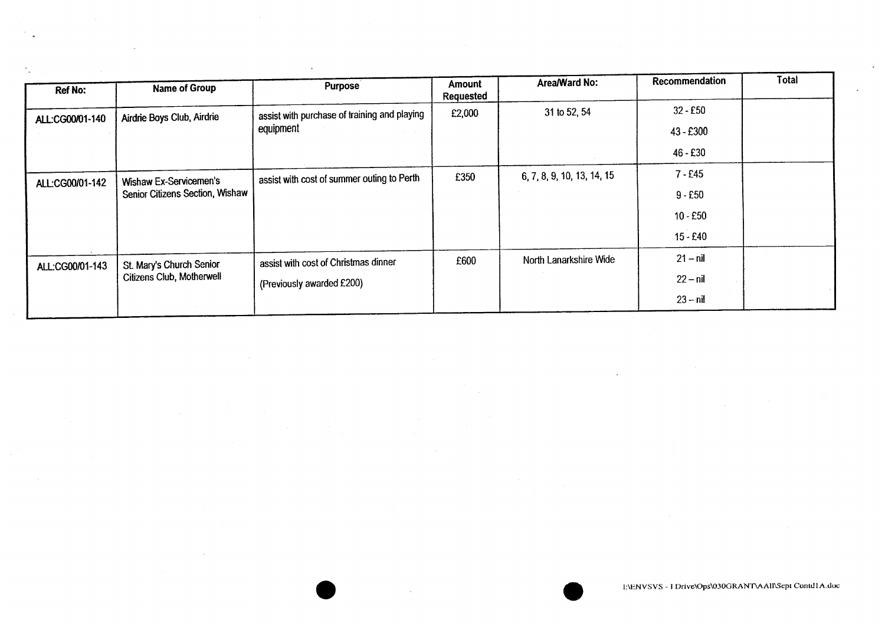| <b>Ref No:</b>  | <b>Name of Group</b>            | <b>Purpose</b>                               | Amount<br>Requested | Area/Ward No:              | Recommendation | <b>Total</b> |
|-----------------|---------------------------------|----------------------------------------------|---------------------|----------------------------|----------------|--------------|
| ALL:CG00/01-140 | Airdrie Boys Club, Airdrie      | assist with purchase of training and playing | £2,000              | 31 to 52, 54               | $32 - £50$     |              |
|                 |                                 | equipment<br><b>Contractor</b>               |                     |                            | $43 - £300$    |              |
|                 |                                 |                                              |                     |                            | $46 - £30$     |              |
| ALL:CG00/01-142 | Wishaw Ex-Servicemen's          | assist with cost of summer outing to Perth   | £350                | 6, 7, 8, 9, 10, 13, 14, 15 | $7 - £45$      |              |
|                 | Senior Citizens Section, Wishaw |                                              |                     |                            | $9 - £50$      |              |
|                 |                                 |                                              |                     |                            | $10 - £50$     |              |
|                 |                                 |                                              |                     |                            | $15 - £40$     |              |
| ALL:CG00/01-143 | St. Mary's Church Senior        | assist with cost of Christmas dinner         | £600                | North Lanarkshire Wide     | $21 - nil$     |              |
|                 | Citizens Club, Motherwell       | (Previously awarded £200)                    |                     |                            | $22 - nil$     |              |
|                 |                                 |                                              |                     |                            | $23 - nil$     |              |

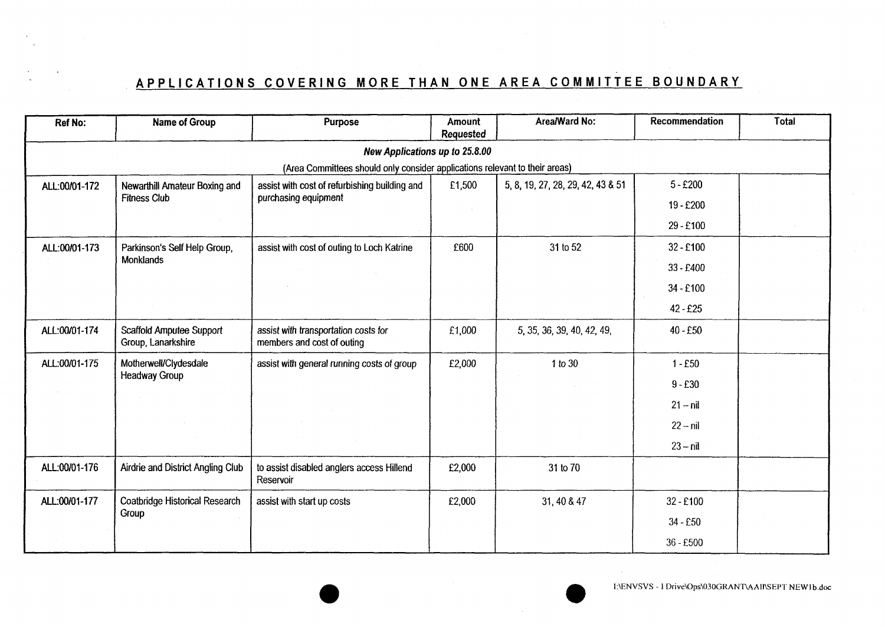# **APPLICATIONS COVERING MORE THAN ONE AREA COMMITTEE BOUNDARY**

| <b>Ref No:</b> | Name of Group                                        | Purpose                                                                     | <b>Amount</b><br>Requested | Area/Ward No:                     | Recommendation | Total |
|----------------|------------------------------------------------------|-----------------------------------------------------------------------------|----------------------------|-----------------------------------|----------------|-------|
|                |                                                      | New Applications up to 25.8.00                                              |                            |                                   |                |       |
|                |                                                      | (Area Committees should only consider applications relevant to their areas) |                            |                                   |                |       |
| ALL:00/01-172  | Newarthill Amateur Boxing and<br><b>Fitness Club</b> | assist with cost of refurbishing building and<br>purchasing equipment       | £1,500                     | 5, 8, 19, 27, 28, 29, 42, 43 & 51 | $5 - £200$     |       |
|                |                                                      |                                                                             |                            |                                   | 19 - £200      |       |
|                |                                                      |                                                                             |                            |                                   | 29 - £100      |       |
| ALL:00/01-173  | Parkinson's Self Help Group,                         | assist with cost of outing to Loch Katrine                                  | £600                       | 31 to 52                          | $32 - £100$    |       |
|                | <b>Monklands</b>                                     |                                                                             |                            |                                   | $33 - £400$    |       |
|                |                                                      |                                                                             |                            |                                   | $34 - £100$    |       |
|                |                                                      |                                                                             |                            |                                   | $42 - £25$     |       |
| ALL:00/01-174  | Scaffold Amputee Support<br>Group, Lanarkshire       | assist with transportation costs for<br>members and cost of outing          | £1,000                     | 5, 35, 36, 39, 40, 42, 49,        | $40 - £50$     |       |
| ALL:00/01-175  | Motherwell/Clydesdale                                | assist with general running costs of group                                  | £2,000                     | 1 to 30                           | $1 - £50$      |       |
|                | <b>Headway Group</b>                                 |                                                                             |                            |                                   | $9 - £30$      |       |
|                |                                                      |                                                                             |                            |                                   | $21 - nil$     |       |
|                |                                                      |                                                                             |                            |                                   | $22 - nil$     |       |
|                |                                                      |                                                                             |                            |                                   | $23 - nil$     |       |
| ALL:00/01-176  | Airdrie and District Angling Club                    | to assist disabled anglers access Hillend<br>Reservoir                      | £2,000                     | 31 to 70                          |                |       |
| ALL:00/01-177  | <b>Coatbridge Historical Research</b>                | assist with start up costs                                                  | £2,000                     | 31, 40 & 47                       | 32-£100        |       |
|                | Group                                                |                                                                             |                            |                                   | 34 - £50       |       |
|                |                                                      |                                                                             |                            |                                   | $36 - £500$    |       |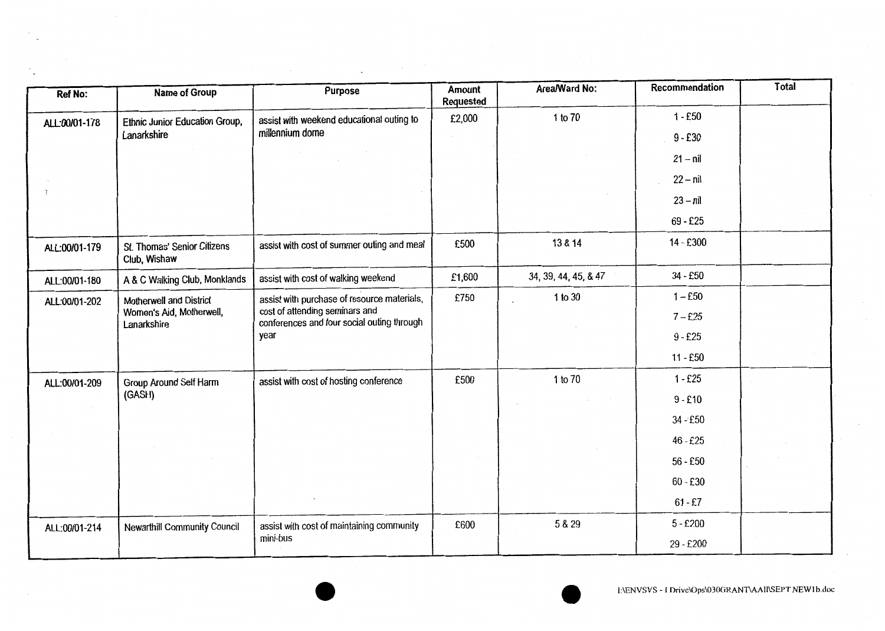| <b>Ref No:</b> | Name of Group                               | Purpose                                                                      | Amount<br>Requested | Area/Ward No:        | Recommendation | Total |
|----------------|---------------------------------------------|------------------------------------------------------------------------------|---------------------|----------------------|----------------|-------|
| ALL:00/01-178  | Ethnic Junior Education Group,              | assist with weekend educational outing to                                    | £2,000              | 1 to 70              | $1 - £50$      |       |
|                | Lanarkshire                                 | millennium dome                                                              |                     |                      | $9 - £30$      |       |
|                |                                             |                                                                              |                     |                      | $21 - nil$     |       |
|                |                                             |                                                                              |                     |                      | $22 - nil$     |       |
| È.             |                                             |                                                                              |                     |                      | $23 - nil$     |       |
|                |                                             |                                                                              |                     |                      | 69 - £25       |       |
| ALL:00/01-179  | St. Thomas' Senior Citizens<br>Club, Wishaw | assist with cost of summer outing and meal                                   | £500                | 13 & 14              | 14 - £300      |       |
| ALL:00/01-180  | A & C Walking Club, Monklands               | assist with cost of walking weekend                                          | £1,600              | 34, 39, 44, 45, & 47 | $34 - £50$     |       |
| ALL:00/01-202  | Motherwell and District                     | assist with purchase of resource materials,                                  | £750                | 1 to 30              | $1 - £50$      |       |
|                | Women's Aid, Motherwell,<br>Lanarkshire     | cost of attending seminars and<br>conferences and four social outing through |                     |                      | $7 - £25$      |       |
|                |                                             | year                                                                         |                     |                      | $9 - £25$      |       |
|                |                                             |                                                                              |                     |                      | $11 - E50$     |       |
| ALL:00/01-209  | Group Around Self Harm                      | assist with cost of hosting conference                                       | £500                | 1 to 70              | $1 - £25$      |       |
|                | (GASH)                                      |                                                                              |                     | $\sim$               | $9 - £10$      |       |
|                |                                             |                                                                              |                     |                      | $34 - £50$     |       |
|                |                                             |                                                                              |                     |                      | $46 - £25$     |       |
|                |                                             |                                                                              |                     |                      | $56 - £50$     |       |
|                |                                             |                                                                              |                     |                      | $60 - £30$     |       |
|                |                                             |                                                                              |                     |                      | $61 - E7$      |       |
| ALL:00/01-214  | Newarthill Community Council                | assist with cost of maintaining community                                    | £600                | 5 & 29               | $5 - £200$     |       |
|                |                                             | mini-bus                                                                     |                     |                      | 29 - £200      |       |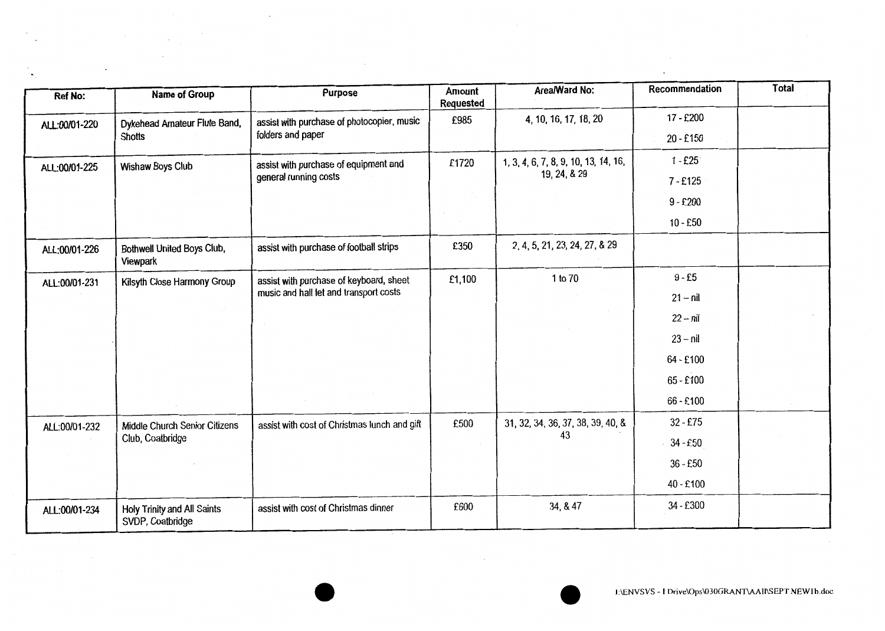| ria.          |                                                 |                                              |                     |                                      |                |       |
|---------------|-------------------------------------------------|----------------------------------------------|---------------------|--------------------------------------|----------------|-------|
| Ref No:       | Name of Group                                   | Purpose                                      | Amount<br>Requested | Area/Ward No:                        | Recommendation | Total |
| ALL:00/01-220 | Dykehead Amateur Flute Band,                    | assist with purchase of photocopier, music   | £985                | 4, 10, 16, 17, 18, 20                | 17 - £200      |       |
|               | <b>Shotts</b>                                   | folders and paper                            |                     |                                      | 20 - £150      |       |
| ALL:00/01-225 | Wishaw Boys Club                                | assist with purchase of equipment and        | £1720               | 1, 3, 4, 6, 7, 8, 9, 10, 13, 14, 16, | $1 - £25$      |       |
|               |                                                 | general running costs                        |                     | 19, 24, & 29                         | $7 - £125$     |       |
|               |                                                 |                                              |                     |                                      | $9 - £200$     |       |
|               |                                                 |                                              |                     |                                      | $10 - £50$     |       |
| ALL:00/01-226 | Bothwell United Boys Club,<br>Viewpark          | assist with purchase of football strips      | £350                | 2, 4, 5, 21, 23, 24, 27, & 29        |                |       |
| ALL:00/01-231 | Kilsyth Close Harmony Group                     | assist with purchase of keyboard, sheet      | £1,100              | 1 to 70                              | $9 - E5$       |       |
|               |                                                 | music and hall let and transport costs       |                     |                                      | $21 - nil$     |       |
|               |                                                 |                                              |                     |                                      | $22 - nil$     |       |
|               |                                                 |                                              |                     |                                      | $23 - nil$     |       |
|               |                                                 |                                              |                     |                                      | 64 - £100      |       |
|               |                                                 |                                              |                     |                                      | 65-£100        |       |
|               |                                                 |                                              |                     |                                      | 66 - £100      |       |
| ALL:00/01-232 | Middle Church Senior Citizens                   | assist with cost of Christmas lunch and gift | £500                | 31, 32, 34, 36, 37, 38, 39, 40, &    | $32 - £75$     |       |
|               | Club, Coatbridge                                |                                              |                     | 43                                   | $34 - £50$     |       |
|               |                                                 |                                              |                     |                                      | $36 - £50$     |       |
|               |                                                 |                                              |                     |                                      | 40 - £100      |       |
| ALL:00/01-234 | Holy Trinity and All Saints<br>SVDP, Coatbridge | assist with cost of Christmas dinner         | £600                | 34, & 47                             | $34 - £300$    |       |

 $\sim$ 

 $\sim$ 

 $\sim$ 

n.  $\sim$ 

 $\sim 10^{-11}$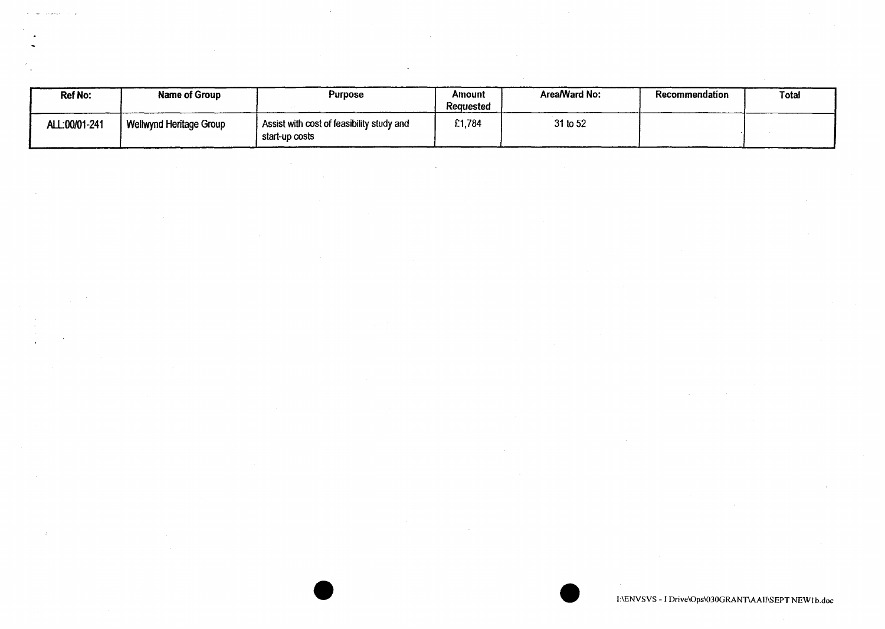| Ref No:       | Name of Group           | <b>Purpose</b>                                              | Amount<br><b>Requested</b> | Area/Ward No: | Recommendation | Total |
|---------------|-------------------------|-------------------------------------------------------------|----------------------------|---------------|----------------|-------|
| ALL:00/01-241 | Wellwynd Heritage Group | Assist with cost of feasibility study and<br>start-up costs | £1,784                     | 31 to 52      |                |       |

.<br>- في المصطلح الفراد

.<br>.<br>.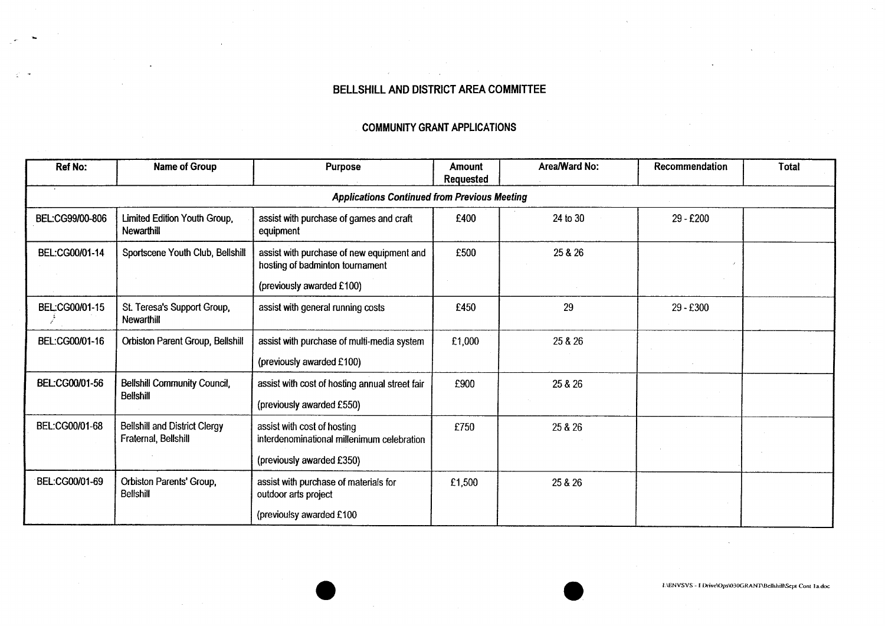## **BELLSHILL AND DISTRICT AREA COMMITTEE**

| $\sim$                  |                                                                                   |                                                                                                                                            |                            |               | $\mathcal{L}(\mathcal{L})$ and $\mathcal{L}(\mathcal{L})$ . |                                                            |
|-------------------------|-----------------------------------------------------------------------------------|--------------------------------------------------------------------------------------------------------------------------------------------|----------------------------|---------------|-------------------------------------------------------------|------------------------------------------------------------|
| $\Delta\phi_{\rm{max}}$ | $\sim 100$ km s $^{-1}$<br>$\sim 100$ km s $^{-1}$<br>$\sim 10^{11}$ km s $^{-1}$ | $\mathcal{O}(\mathcal{A})$ and $\mathcal{O}(\mathcal{A})$ . The set of $\mathcal{O}(\mathcal{A})$<br>BELLSHILL AND DISTRICT AREA COMMITTEE |                            |               | $\sim 100$                                                  | <b>Contractor</b>                                          |
|                         |                                                                                   | COMMUNITY GRANT APPLICATIONS                                                                                                               |                            |               | <b>Contractor</b>                                           |                                                            |
| Ref No:                 | <b>Name of Group</b>                                                              | Purpose                                                                                                                                    | <b>Amount</b><br>Requested | Area/Ward No: | Recommendation                                              | Total                                                      |
| BEL:CG99/00-806         | Limited Edition Youth Group,                                                      | <b>Applications Continued from Previous Meeting</b><br>assist with purchase of games and craft                                             | £400                       | 24 to 30      | 29 - £200                                                   |                                                            |
|                         | Newarthill<br>BEL:CG00/01-14   Sportscene Youth Club, Bellshill                   | equipment<br>assist with purchase of new equipment and<br>hosting of badminton tournament                                                  | £500                       | 25 & 26       |                                                             |                                                            |
| BEL:CG00/01-15          | St. Teresa's Support Group,<br>Newarthill                                         | (previously awarded £100)<br>assist with general running costs                                                                             | £450                       | 29            | 29 - £300                                                   |                                                            |
|                         | BEL:CG00/01-16   Orbiston Parent Group, Bellshill                                 | assist with purchase of multi-media system<br>(previously awarded £100)                                                                    | £1,000                     | 25 & 26       | <b>Contractor</b>                                           |                                                            |
|                         | BEL:CG00/01-56   Bellshill Community Council,<br>Bellshill                        | assist with cost of hosting annual street fair<br>(previously awarded £550)                                                                | £900                       | 25 & 26       |                                                             |                                                            |
| BEL:CG00/01-68          | Bellshill and District Clergy<br>Fraternal, Bellshill                             | assist with cost of hosting<br>interdenominational millenimum celebration<br>(previously awarded £350)                                     | £750                       | 25 & 26       | $\sim 100$ km s $^{-1}$                                     |                                                            |
|                         | BEL:CG00/01-69   Orbiston Parents' Group,<br>Bellshill                            | assist with purchase of materials for<br>outdoor arts project<br>(previoulsy awarded £100                                                  | £1,500                     | 25 & 26       |                                                             |                                                            |
|                         |                                                                                   |                                                                                                                                            |                            |               |                                                             |                                                            |
|                         |                                                                                   |                                                                                                                                            |                            |               |                                                             | E\ENVSVS - I Drive\Ops\030GRANT\Bellshill\Sept Cont 1a.doc |
|                         |                                                                                   |                                                                                                                                            |                            |               |                                                             |                                                            |

### **COMMUNITY GRANT APPLICATIONS**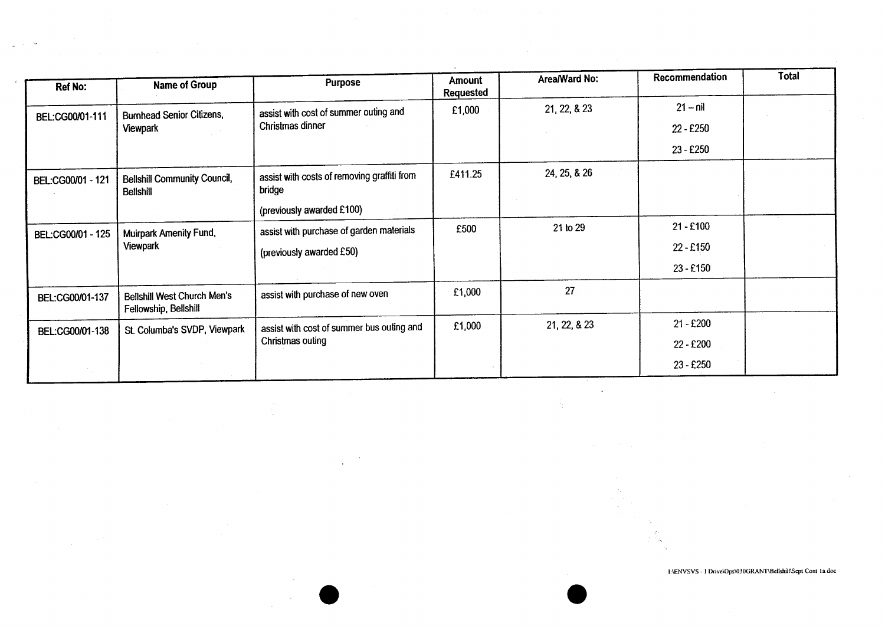| <b>Ref No:</b>    | Name of Group                                           | <b>Purpose</b>                                                | Amount<br>Requested | Area/Ward No: | Recommendation | <b>Total</b> |
|-------------------|---------------------------------------------------------|---------------------------------------------------------------|---------------------|---------------|----------------|--------------|
| BEL:CG00/01-111   | <b>Burnhead Senior Citizens,</b><br>Viewpark            | assist with cost of summer outing and<br>Christmas dinner     | £1,000              | 21, 22, & 23  | $21 - nil$     |              |
|                   |                                                         |                                                               |                     |               | 22 - £250      |              |
|                   |                                                         |                                                               |                     |               | $23 - £250$    |              |
| BEL:CG00/01 - 121 | <b>Bellshill Community Council,</b><br><b>Bellshill</b> | assist with costs of removing graffiti from<br>bridge         | £411.25             | 24, 25, & 26  |                |              |
|                   |                                                         | (previously awarded £100)                                     |                     |               |                |              |
| BEL:CG00/01 - 125 | Muirpark Amenity Fund,<br>Viewpark                      | assist with purchase of garden materials                      | £500                | 21 to 29      | $21 - £100$    |              |
|                   |                                                         | (previously awarded £50)                                      |                     |               | 22 - £150      |              |
|                   |                                                         |                                                               |                     |               | 23 - £150      |              |
| BEL:CG00/01-137   | Bellshill West Church Men's<br>Fellowship, Bellshill    | assist with purchase of new oven                              | £1,000              | 27            |                |              |
| BEL:CG00/01-138   | St. Columba's SVDP, Viewpark                            | assist with cost of summer bus outing and<br>Christmas outing | £1,000              | 21, 22, & 23  | 21 - £200      |              |
|                   |                                                         |                                                               |                     |               | 22 - £200      |              |
|                   |                                                         |                                                               |                     |               | $23 - £250$    |              |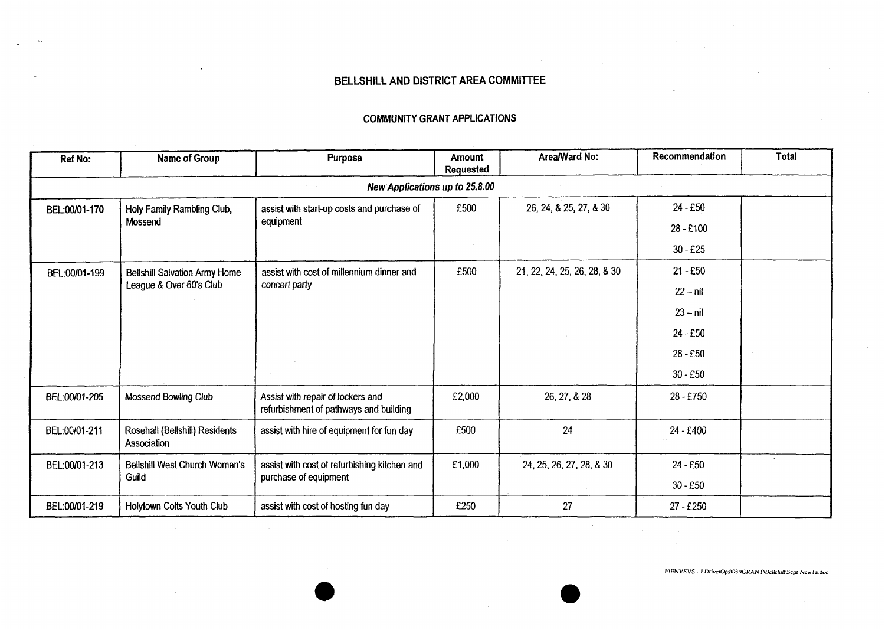### **BELLSHILL AND DISTRICT AREA COMMITTEE**

| <b>Ref No:</b>                        | Name of Group                                                   | Purpose                                                                     | Amount<br>Requested | Area/Ward No:                | Recommendation | Total |  |  |
|---------------------------------------|-----------------------------------------------------------------|-----------------------------------------------------------------------------|---------------------|------------------------------|----------------|-------|--|--|
| <b>New Applications up to 25.8.00</b> |                                                                 |                                                                             |                     |                              |                |       |  |  |
| BEL:00/01-170                         | Holy Family Rambling Club,<br>Mossend                           | assist with start-up costs and purchase of<br>equipment                     | £500                | 26, 24, & 25, 27, & 30       | 24 - £50       |       |  |  |
|                                       |                                                                 |                                                                             |                     |                              | 28 - £100      |       |  |  |
|                                       |                                                                 |                                                                             |                     |                              | $30 - £25$     |       |  |  |
| BEL:00/01-199                         | <b>Bellshill Salvation Army Home</b><br>League & Over 60's Club | assist with cost of millennium dinner and<br>concert party                  | £500                | 21, 22, 24, 25, 26, 28, & 30 | $21 - £50$     |       |  |  |
|                                       |                                                                 |                                                                             |                     |                              | $22 - ni$      |       |  |  |
|                                       |                                                                 |                                                                             |                     |                              | $23 - nil$     |       |  |  |
|                                       |                                                                 |                                                                             |                     |                              | 24 - £50       |       |  |  |
|                                       |                                                                 |                                                                             |                     |                              | $28 - £50$     |       |  |  |
|                                       |                                                                 |                                                                             |                     |                              | $30 - £50$     |       |  |  |
| BEL:00/01-205                         | <b>Mossend Bowling Club</b>                                     | Assist with repair of lockers and<br>refurbishment of pathways and building | £2,000              | 26, 27, & 28                 | 28 - £750      |       |  |  |
| BEL:00/01-211                         | Rosehall (Bellshill) Residents<br>Association                   | assist with hire of equipment for fun day                                   | £500                | 24                           | 24 - £400      |       |  |  |
| BEL:00/01-213                         | <b>Bellshill West Church Women's</b><br>Guild                   | assist with cost of refurbishing kitchen and<br>purchase of equipment       | £1,000              | 24, 25, 26, 27, 28, & 30     | 24 - £50       |       |  |  |
|                                       |                                                                 |                                                                             |                     |                              | $30 - £50$     |       |  |  |
| BEL:00/01-219                         | Holytown Colts Youth Club                                       | assist with cost of hosting fun day                                         | £250                | 27                           | 27 - £250      |       |  |  |

### COMMUNITY GRANT APPLICATIONS

I:\ENVSVS - I Drive\Ops\030GRANT\Bellshill\Sept New1a.doc